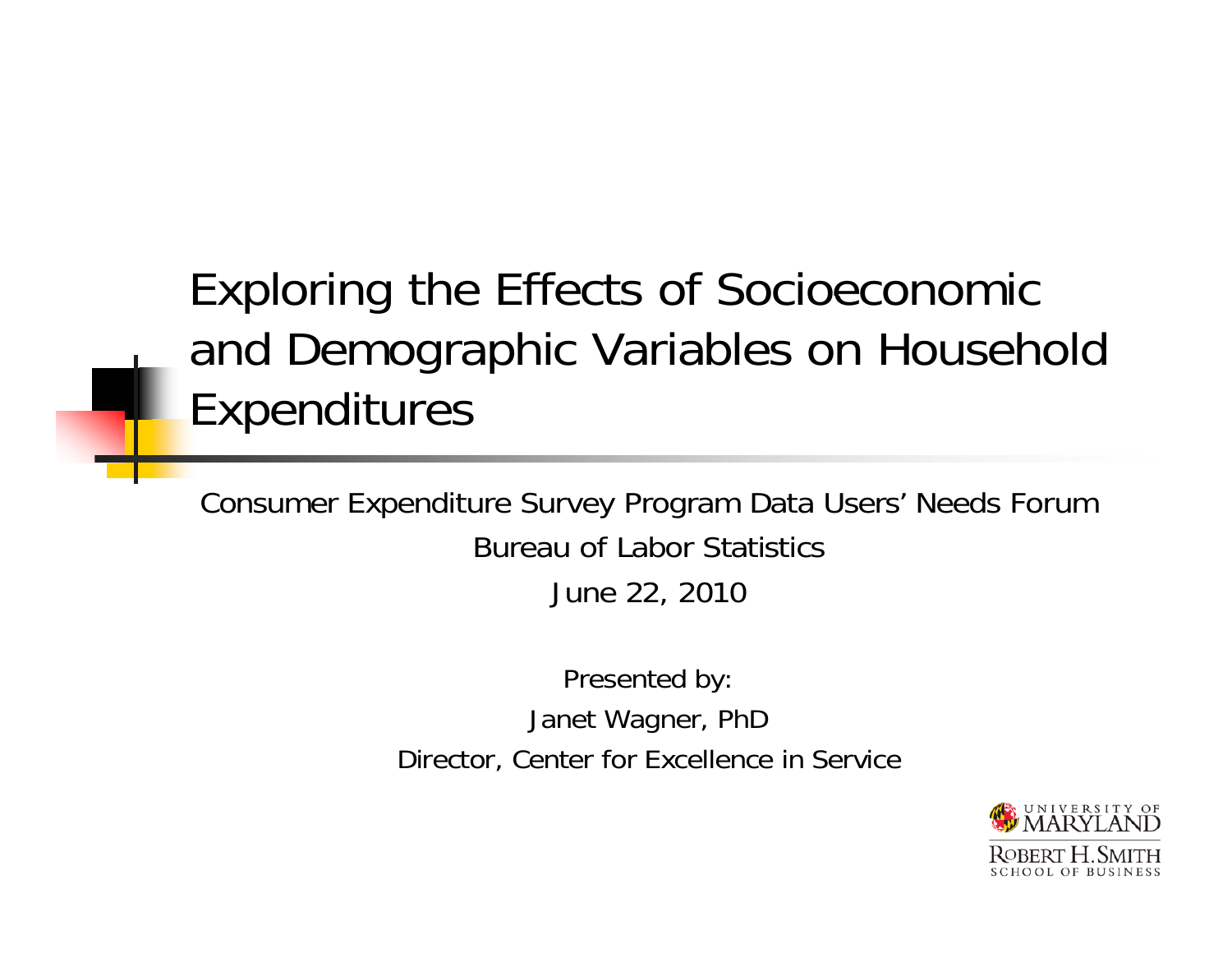#### Exploring the Effects of Socioeconomic and Demographic Variables on Household Expenditures

Consumer Expenditure Survey Program Data Users' Needs Forum Bureau of Labor Statistics June 22, 2010

> Presented by: Janet Wagner, PhD Director, Center for Excellence in Service

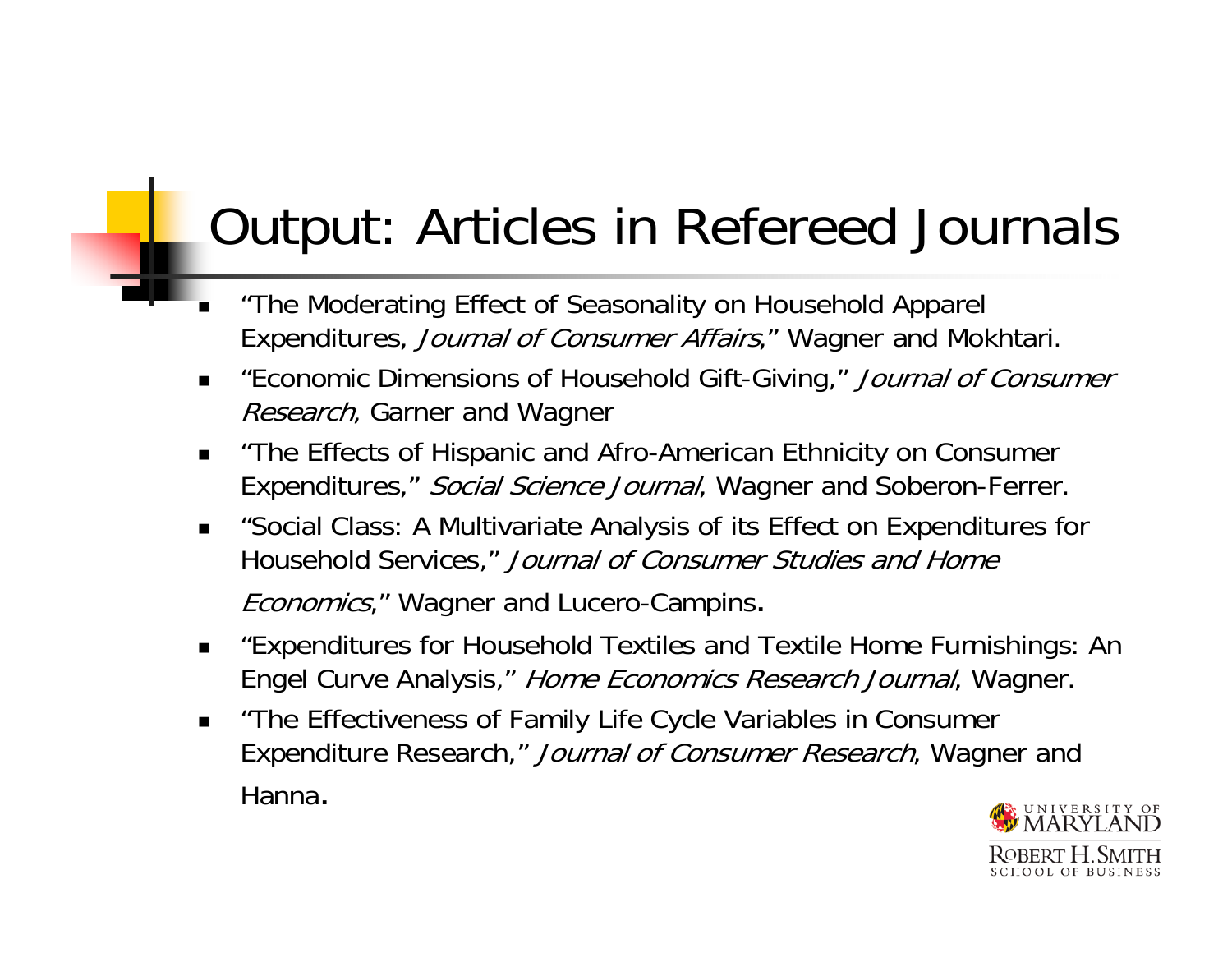# Output: Articles in Refereed Journals

- • "The Moderating Effect of Seasonality on Household Apparel Expenditures, Journal of Consumer Affairs," Wagner and Mokhtari.
- "Economic Dimensions of Household Gift-Giving," Journal of Consumer Research, Garner and Wagner
- "The Effects of Hispanic and Afro-American Ethnicity on Consumer Expenditures," Social Science Journal, Wagner and Soberon-Ferrer.
- $\blacksquare$ ■ "Social Class: A Multivariate Analysis of its Effect on Expenditures for Household Services," Journal of Consumer Studies and Home **Economics,"** Wagner and Lucero-Campins.
- $\blacksquare$ ■ "Expenditures for Household Textiles and Textile Home Furnishings: An Engel Curve Analysis," Home Economics Research Journal, Wagner.
- $\blacksquare$  "The Effectiveness of Family Life Cycle Variables in Consumer Expenditure Research," Journal of Consumer Research, Wagner and Hanna.

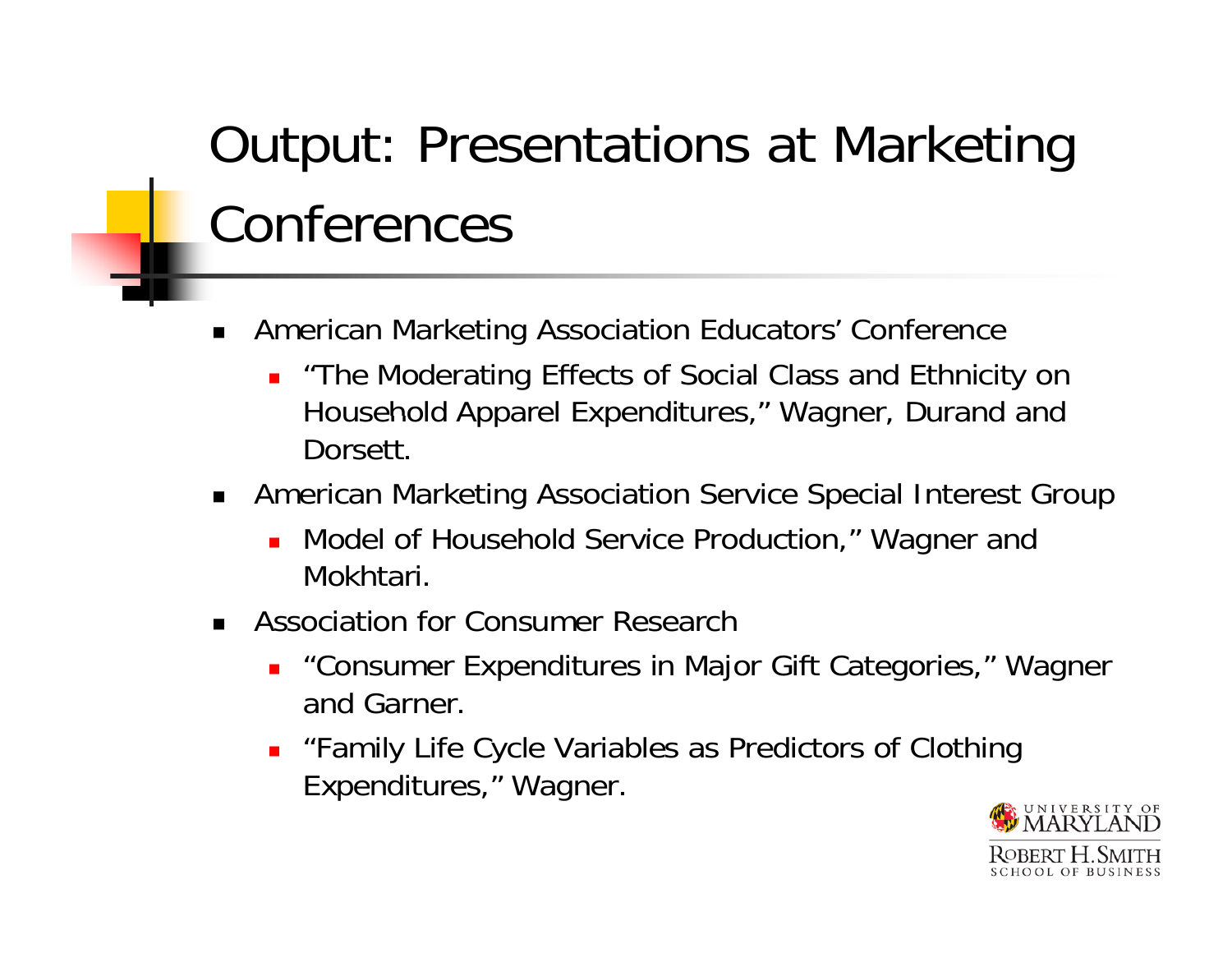# Output: Presentations at Marketing Conferences

- ▉ American Marketing Association Educators' Conference
	- Ξ "The Moderating Effects of Social Class and Ethnicity on Household Apparel Expenditures," Wagner, Durand and Dorsett.
- American Marketing Association Service Special Interest Group
	- **.** Model of Household Service Production," Wagner and Mokhtari.
- Association for Consumer Research
	- "Consumer Expenditures in Major Gift Categories," Wagner and Garner.
	- Ξ "Family Life Cycle Variables as Predictors of Clothing Expenditures," Wagner.

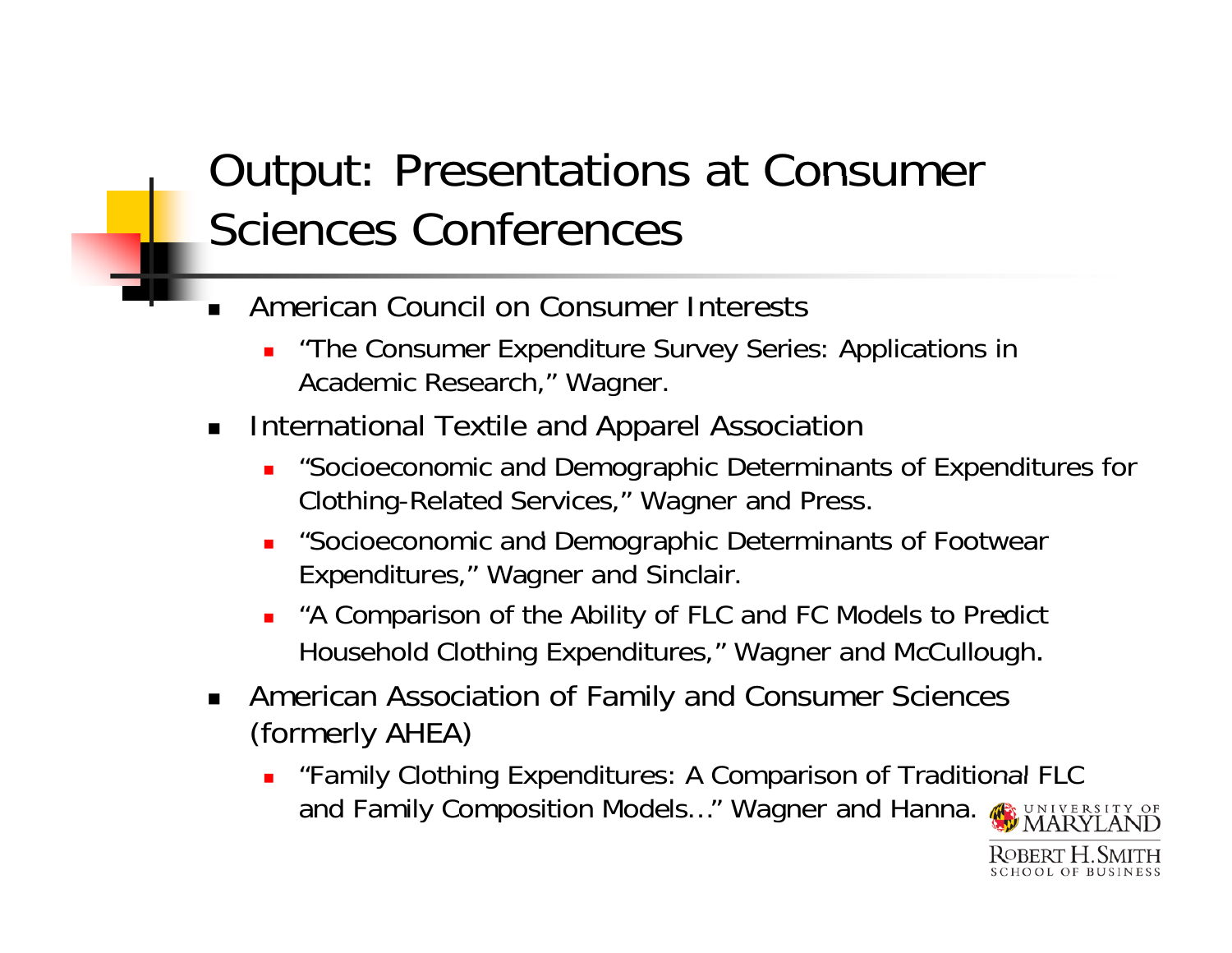#### Output: Presentations at Consumer Sciences Conferences

- **American Council on Consumer Interests** 
	- "The Consumer Expenditure Survey Series: Applications in Academic Research," Wagner.
- $\blacksquare$  $\blacksquare$  International Textile and Apparel Association
	- ▉ "Socioeconomic and Demographic Determinants of Expenditures for Clothing-Related Services," Wagner and Press.
	- ▉ "Socioeconomic and Demographic Determinants of Footwear Expenditures," Wagner and Sinclair.
	- П "A Comparison of the Ability of FLC and FC Models to Predict Household Clothing Expenditures," Wagner and McCullough.
- American Association of Family and Consumer Sciences (formerly AHEA)
	- П **•** "Family Clothing Expenditures: A Comparison of Traditional FLC and Family Composition Models..." Wagner and Hanna.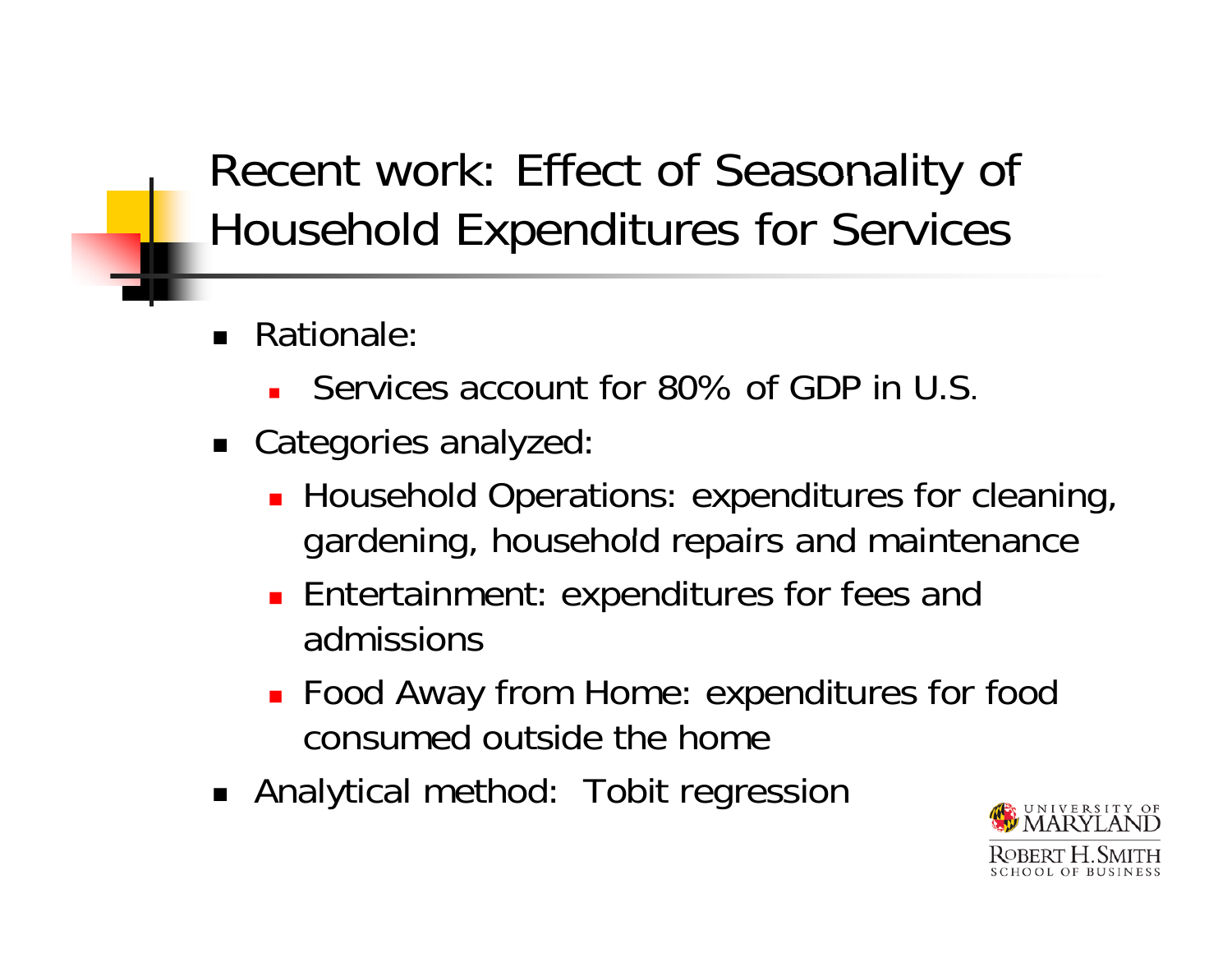#### Recent work: Effect of Seasonality of Household Expenditures for Services

- Rationale:
	- Ξ Services account for 80% of GDP in U.S.
- Categories analyzed:
	- **Household Operations: expenditures for cleaning,** gardening, household repairs and maintenance
	- **Entertainment: expenditures for fees and** admissions
	- Food Away from Home: expenditures for food consumed outside the home
- Analytical method: Tobit regression

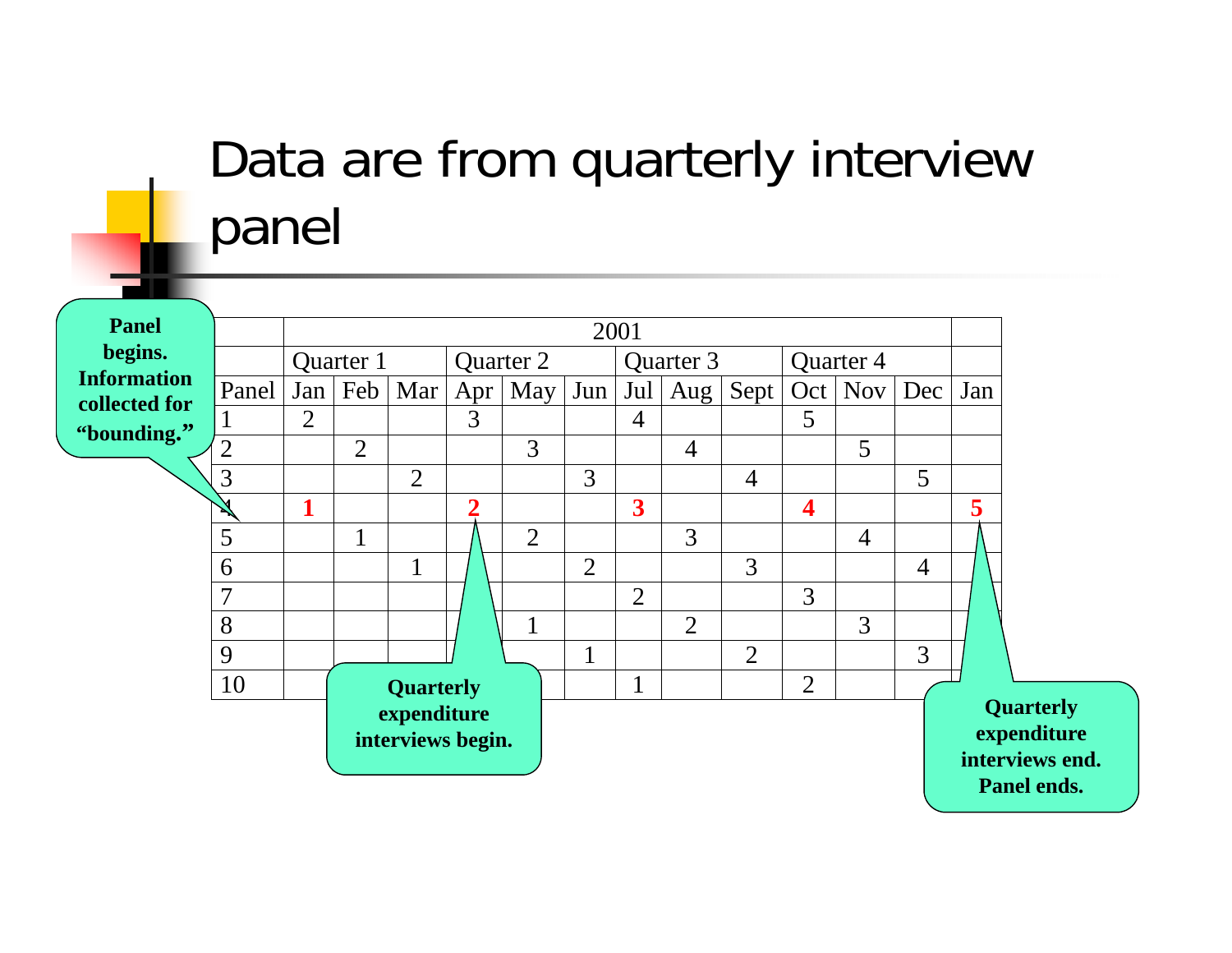# Data are from quarterly interview panel

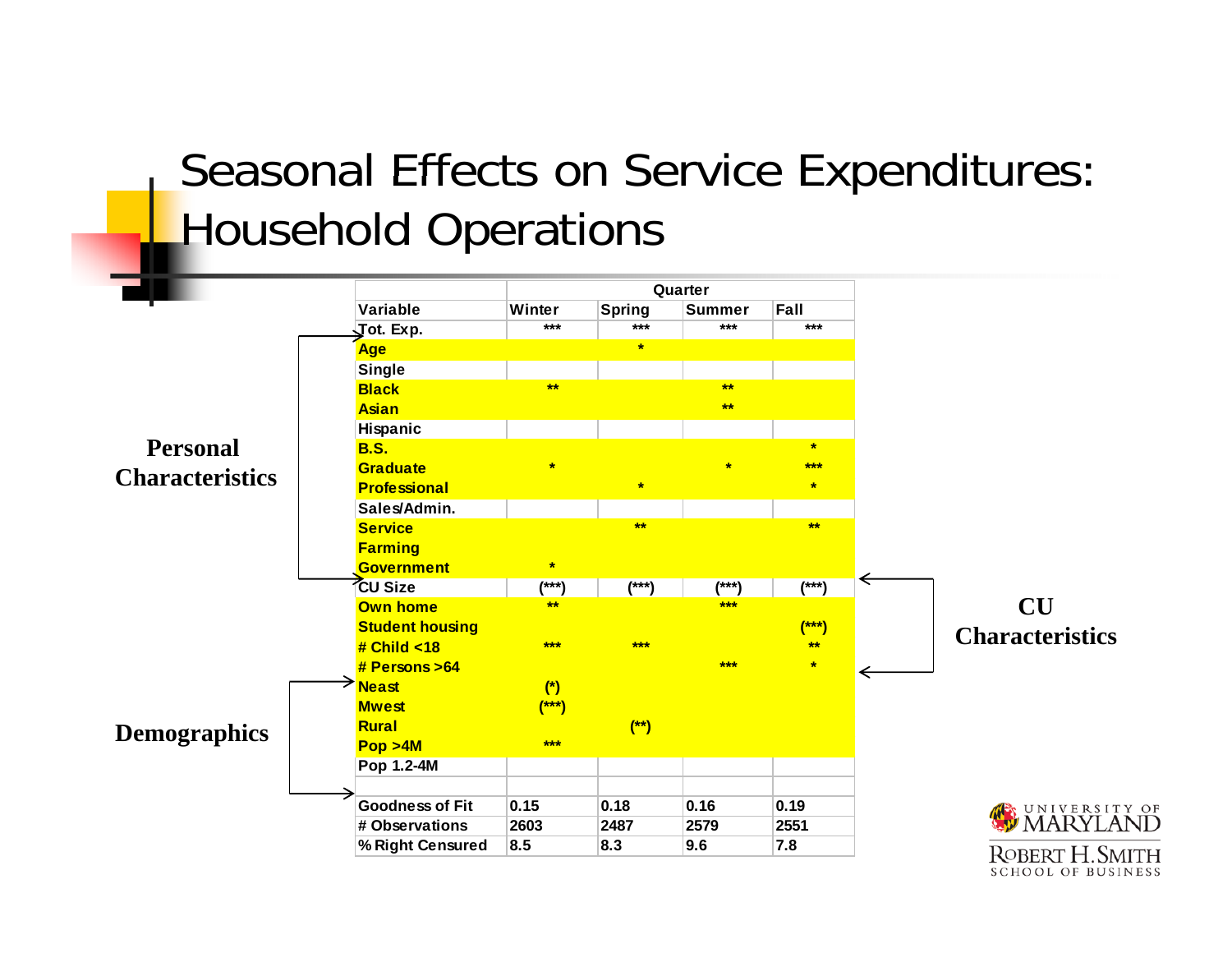#### Seasonal Effects on Service Expenditures: **Household Operations**

|                        |                               | Quarter |               |               |         |   |                          |
|------------------------|-------------------------------|---------|---------------|---------------|---------|---|--------------------------|
|                        | Variable                      | Winter  | <b>Spring</b> | <b>Summer</b> | Fall    |   |                          |
|                        | $\sqrt{\phantom{a}}$ ot. Exp. | $***$   | $***$         | $***$         | $***$   |   |                          |
|                        | Age                           |         | $\star$       |               |         |   |                          |
|                        | <b>Single</b>                 |         |               |               |         |   |                          |
|                        | <b>Black</b>                  | $**$    |               | $**$          |         |   |                          |
|                        | <b>Asian</b>                  |         |               | $**$          |         |   |                          |
|                        | Hispanic                      |         |               |               |         |   |                          |
| <b>Personal</b>        | <b>B.S.</b>                   |         |               |               | $\star$ |   |                          |
| <b>Characteristics</b> | Graduate                      | $\star$ |               | $\star$       | $***$   |   |                          |
|                        | <b>Professional</b>           |         | $\star$       |               | $\star$ |   |                          |
|                        | Sales/Admin.                  |         |               |               |         |   |                          |
|                        | <b>Service</b>                |         | $***$         |               | $***$   |   |                          |
|                        | <b>Farming</b>                |         |               |               |         |   |                          |
|                        | <b>Government</b>             | $\star$ |               |               |         |   |                          |
|                        | <b>CU Size</b>                | $(***)$ | $(***)$       | $(***)$       | $(***)$ | ← |                          |
| <b>Demographics</b>    | <b>Own home</b>               | $***$   |               | ***           |         |   | <b>CU</b>                |
|                        | <b>Student housing</b>        |         |               |               | $(***)$ |   | <b>Characteristics</b>   |
|                        | # Child $<$ 18                | ***     | $***$         |               | $***$   |   |                          |
|                        | # Persons > 64                |         |               | $***$         | $\star$ |   |                          |
|                        | <sup>→</sup> Neast            | $(*)$   |               |               |         |   |                          |
|                        | <b>Mwest</b>                  | $(***)$ |               |               |         |   |                          |
|                        | Rural                         |         | $(*)$         |               |         |   |                          |
|                        | Pop > 4M                      | $***$   |               |               |         |   |                          |
|                        | Pop 1.2-4M                    |         |               |               |         |   |                          |
|                        |                               |         |               |               |         |   |                          |
|                        | <b>Goodness of Fit</b>        | 0.15    | 0.18          | 0.16          | 0.19    |   |                          |
|                        | # Observations                | 2603    | 2487          | 2579          | 2551    |   | WARYLANI                 |
|                        | % Right Censured              | 8.5     | 8.3           | 9.6           | 7.8     |   | ROBERT H. SMITI          |
|                        |                               |         |               |               |         |   | <b>SCHOOL OF BUSINES</b> |

OF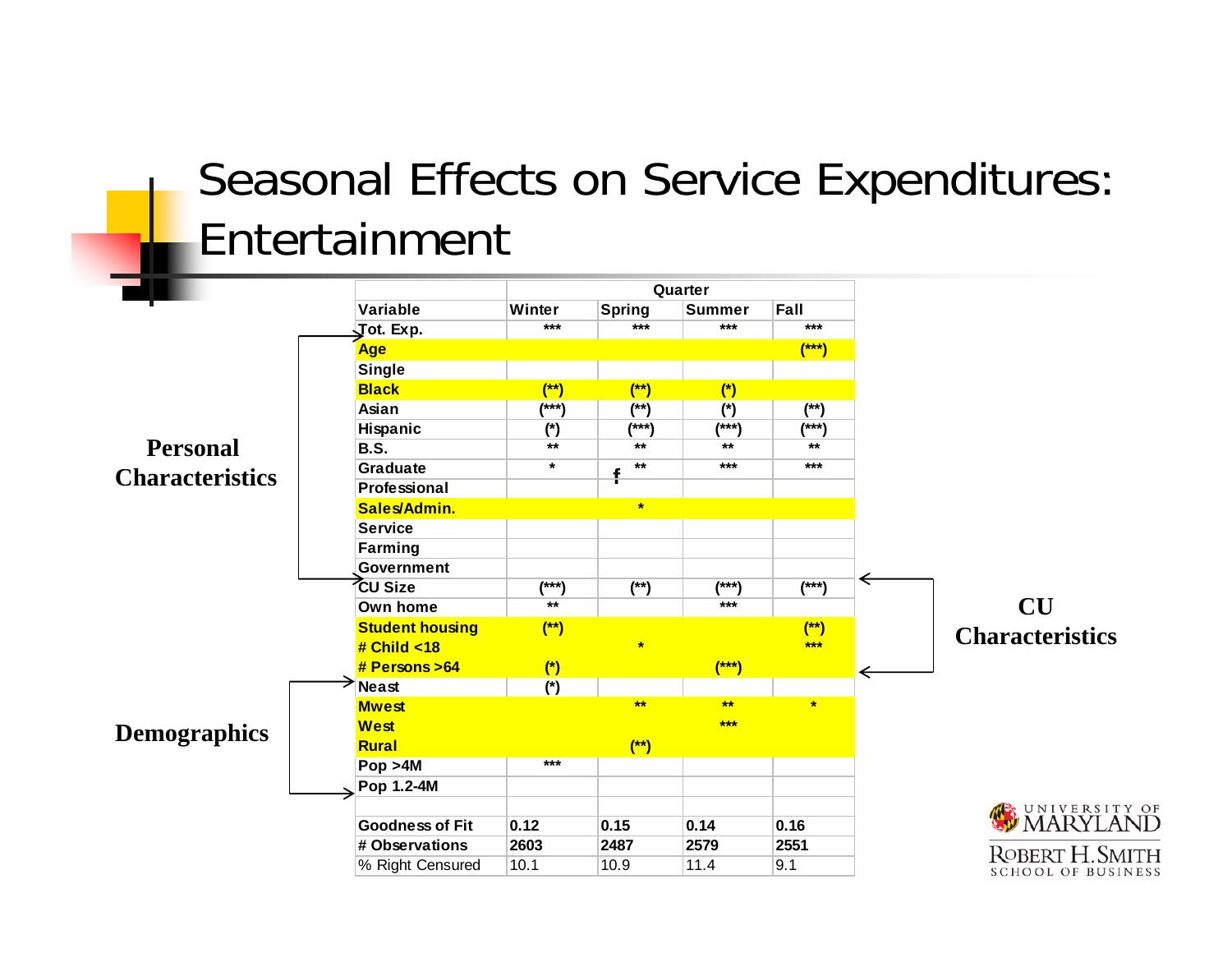#### Seasonal Effects on Service Expenditures: Entertainment

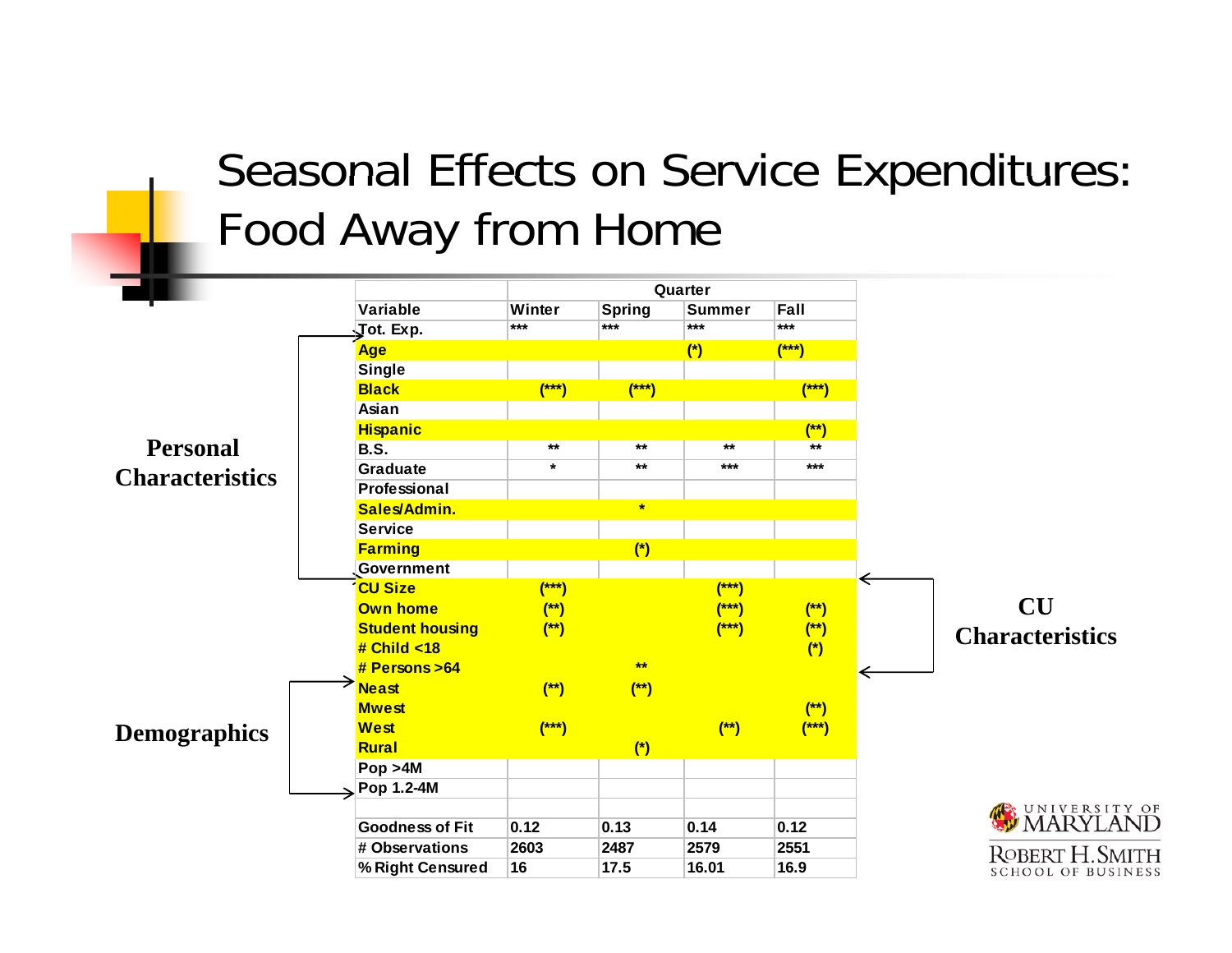#### Seasonal Effects on Service Expenditures: Food Away from Home

|                                           |                        | Quarter |               |               |         |                           |
|-------------------------------------------|------------------------|---------|---------------|---------------|---------|---------------------------|
|                                           | <b>Variable</b>        | Winter  | <b>Spring</b> | <b>Summer</b> | Fall    |                           |
|                                           | Jot. Exp.              | $***$   | $***$         | ***           | $***$   |                           |
| <b>Personal</b><br><b>Characteristics</b> | Age                    |         |               | $(*)$         | $(***)$ |                           |
|                                           | <b>Single</b>          |         |               |               |         |                           |
|                                           | <b>Black</b>           | $(***)$ | $(***)$       |               | $(***)$ |                           |
|                                           | Asian                  |         |               |               |         |                           |
|                                           | <b>Hispanic</b>        |         |               |               | $(*)$   |                           |
|                                           | <b>B.S.</b>            | $***$   | $***$         | $***$         | $***$   |                           |
|                                           | Graduate               | $\star$ | $***$         | $***$         | $***$   |                           |
|                                           | Professional           |         |               |               |         |                           |
|                                           | Sales/Admin.           |         | $\star$       |               |         |                           |
|                                           | <b>Service</b>         |         |               |               |         |                           |
|                                           | <b>Farming</b>         |         | $(*)$         |               |         |                           |
|                                           | Government             |         |               |               |         |                           |
| <b>Demographics</b>                       | <b>CU Size</b>         | $(***)$ |               | $(***)$       |         | ⇐                         |
|                                           | <b>Own home</b>        | $(*)$   |               | $(***)$       | $(*)$   | <b>CU</b>                 |
|                                           | <b>Student housing</b> | $(*)$   |               | $(***)$       | $(*)$   | <b>Characteristics</b>    |
|                                           | # Child < 18           |         |               |               | $(*)$   |                           |
|                                           | # Persons > 64         |         | $***$         |               |         |                           |
|                                           | <b>Neast</b>           | $(*)$   | $(*)$         |               |         |                           |
|                                           | <b>Mwest</b>           |         |               |               | $(*)$   |                           |
|                                           | <b>West</b>            | $(***)$ |               | $(*)$         | $(***)$ |                           |
|                                           | Rural                  |         | $(*)$         |               |         |                           |
|                                           | Pop > 4M               |         |               |               |         |                           |
|                                           | Pop 1.2-4M             |         |               |               |         |                           |
|                                           |                        |         |               |               |         | WARYLAND                  |
|                                           | <b>Goodness of Fit</b> | 0.12    | 0.13          | 0.14          | 0.12    |                           |
|                                           | # Observations         | 2603    | 2487          | 2579          | 2551    | <b>ROBERT H. SMITH</b>    |
|                                           | % Right Censured       | 16      | 17.5          | 16.01         | 16.9    | <b>SCHOOL OF BUSINESS</b> |
|                                           |                        |         |               |               |         |                           |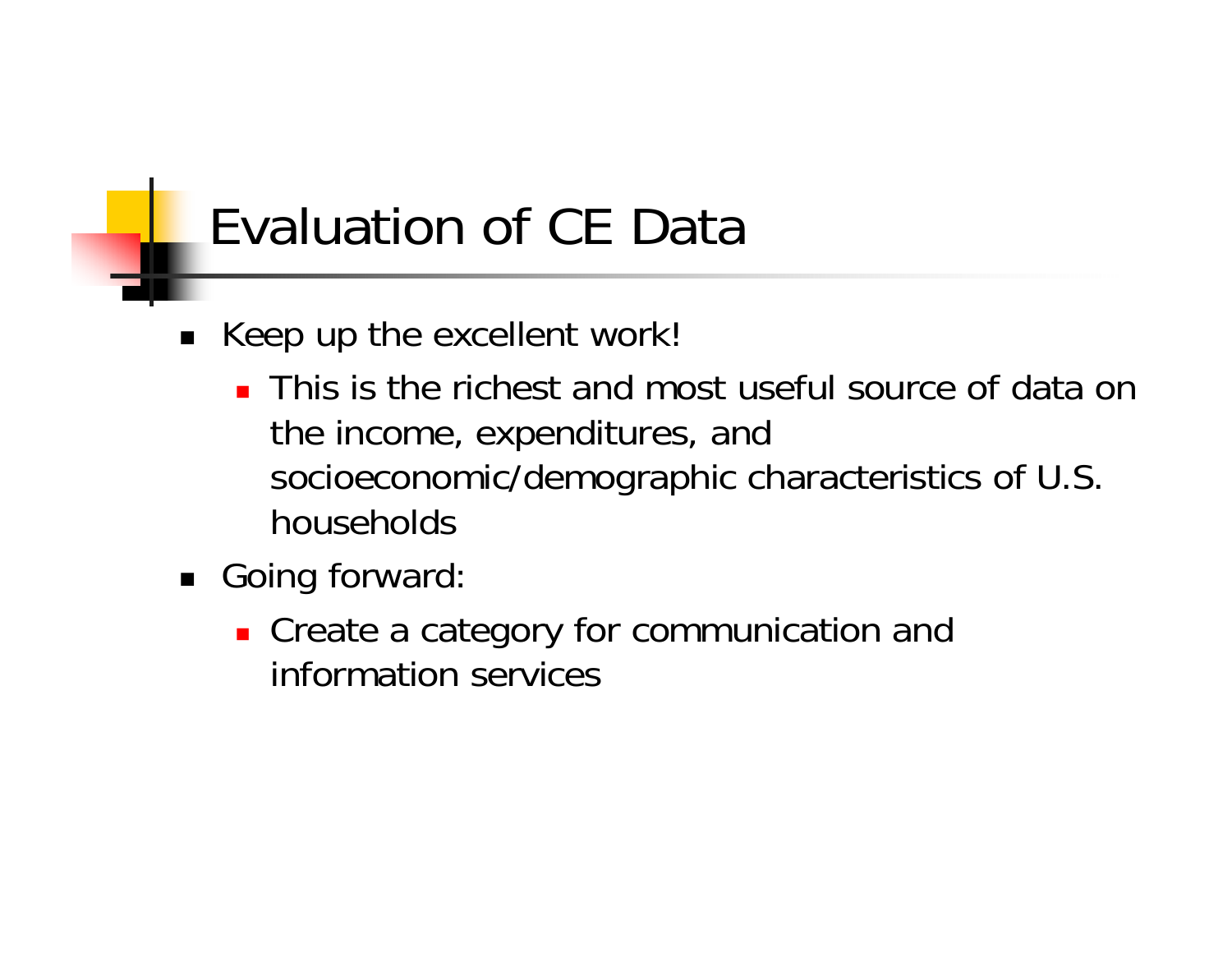### Evaluation of CE Data

- Keep up the excellent work!
	- **This is the richest and most useful source of data on** the income, expenditures, and socioeconomic/demographic characteristics of U.S. households
- Going forward:
	- **Create a category for communication and** information services